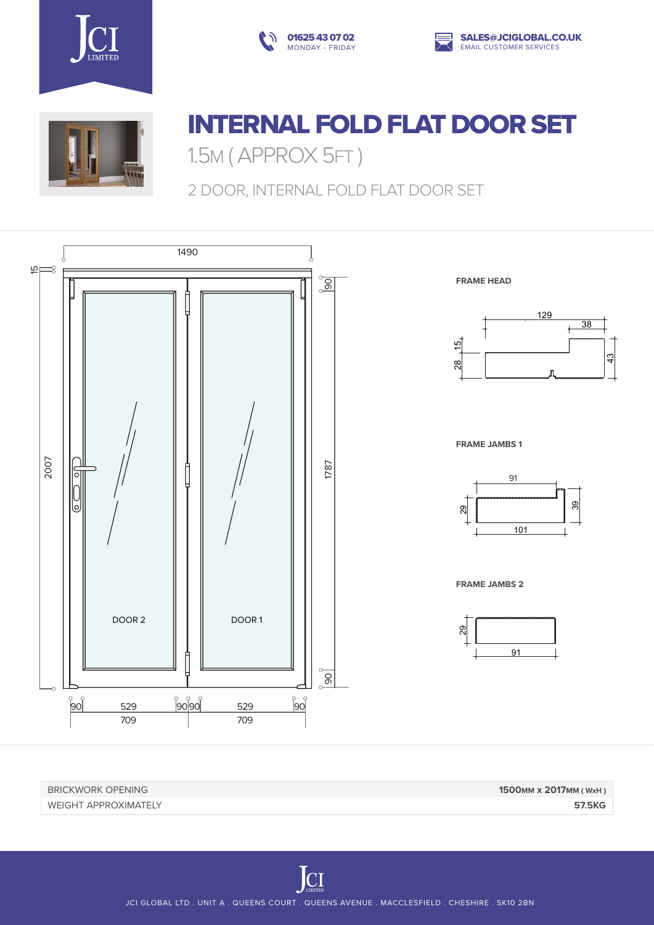







## INTERNAL FOLD FLAT DOOR SET

1.5M ( APPROX 5FT )

2 DOOR, INTERNAL FOLD FLAT DOOR SET



BRICKWORK OPENING **1500mm x 2017mm ( WxH )** WEIGHT APPROXIMATELY **57.5KG**

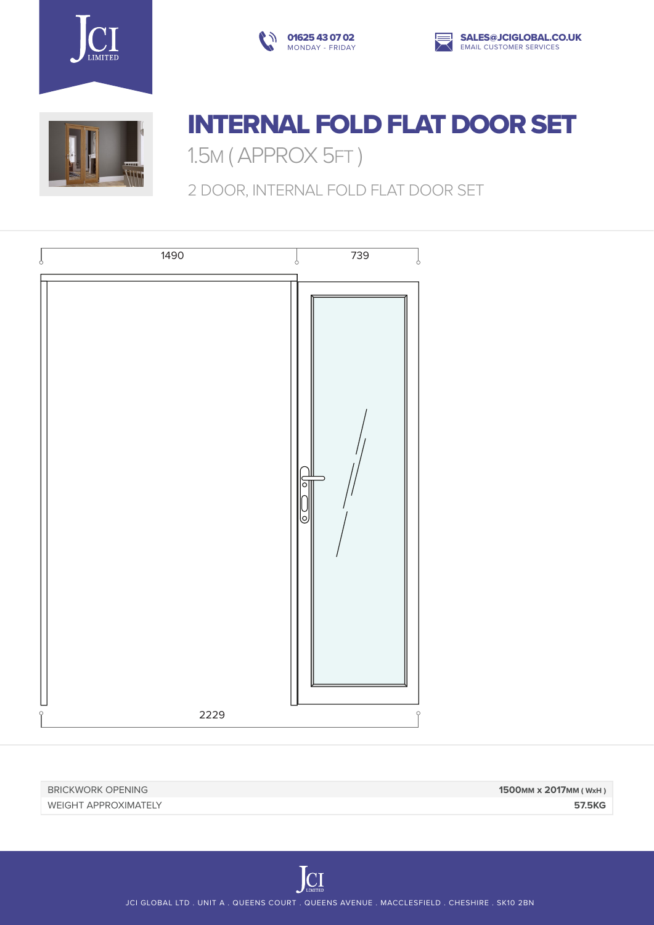







## INTERNAL FOLD FLAT DOOR SET

1.5M ( APPROX 5FT )

2 DOOR, INTERNAL FOLD FLAT DOOR SET



BRICKWORK OPENING **1500mm x 2017mm ( WxH )** WEIGHT APPROXIMATELY **57.5KG**